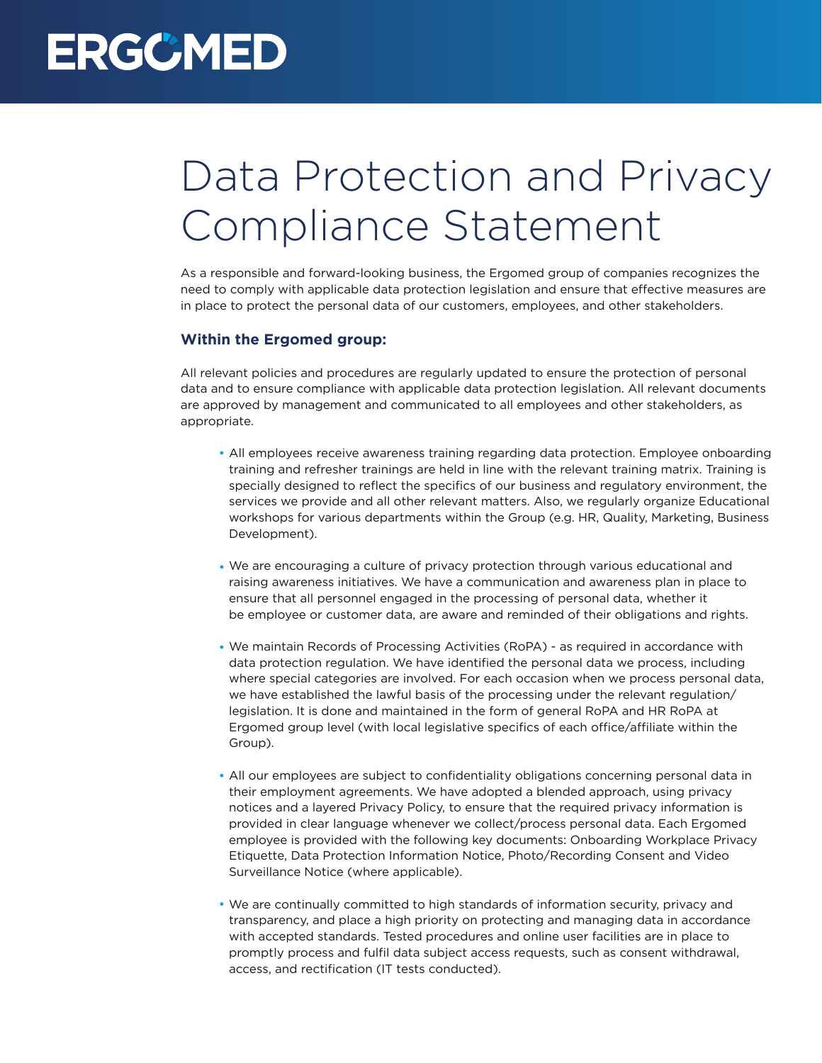## **ERGCMED**

## Data Protection and Privacy Compliance Statement

As a responsible and forward-looking business, the Ergomed group of companies recognizes the need to comply with applicable data protection legislation and ensure that effective measures are in place to protect the personal data of our customers, employees, and other stakeholders.

## **Within the Ergomed group:**

All relevant policies and procedures are regularly updated to ensure the protection of personal data and to ensure compliance with applicable data protection legislation. All relevant documents are approved by management and communicated to all employees and other stakeholders, as appropriate.

- All employees receive awareness training regarding data protection. Employee onboarding training and refresher trainings are held in line with the relevant training matrix. Training is specially designed to reflect the specifics of our business and regulatory environment, the services we provide and all other relevant matters. Also, we regularly organize Educational workshops for various departments within the Group (e.g. HR, Quality, Marketing, Business Development).
- We are encouraging a culture of privacy protection through various educational and raising awareness initiatives. We have a communication and awareness plan in place to ensure that all personnel engaged in the processing of personal data, whether it be employee or customer data, are aware and reminded of their obligations and rights.
- We maintain Records of Processing Activities (RoPA) as required in accordance with data protection regulation. We have identified the personal data we process, including where special categories are involved. For each occasion when we process personal data, we have established the lawful basis of the processing under the relevant regulation/ legislation. It is done and maintained in the form of general RoPA and HR RoPA at Ergomed group level (with local legislative specifics of each office/affiliate within the Group).
- All our employees are subject to confidentiality obligations concerning personal data in their employment agreements. We have adopted a blended approach, using privacy notices and a layered Privacy Policy, to ensure that the required privacy information is provided in clear language whenever we collect/process personal data. Each Ergomed employee is provided with the following key documents: Onboarding Workplace Privacy Etiquette, Data Protection Information Notice, Photo/Recording Consent and Video Surveillance Notice (where applicable).
- We are continually committed to high standards of information security, privacy and transparency, and place a high priority on protecting and managing data in accordance with accepted standards. Tested procedures and online user facilities are in place to promptly process and fulfil data subject access requests, such as consent withdrawal, access, and rectification (IT tests conducted).